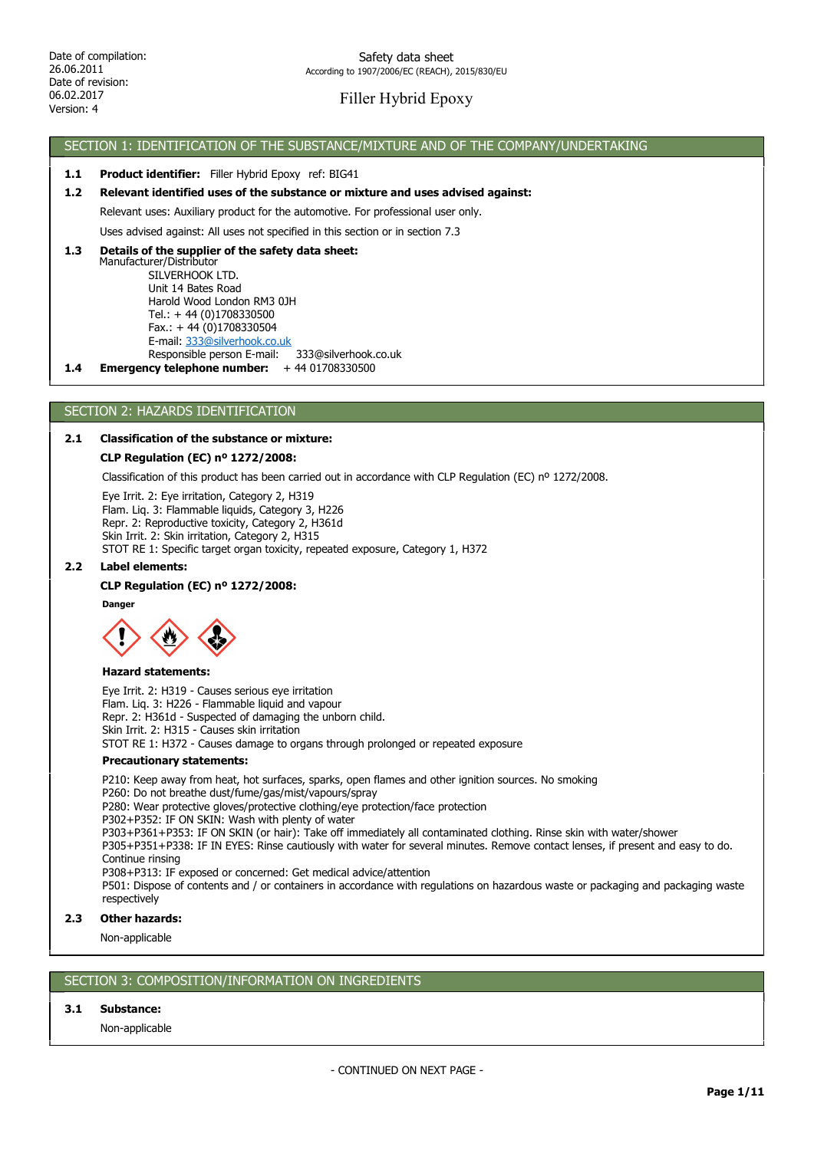## Filler Hybrid Epoxy

## SECTION 1: IDENTIFICATION OF THE SUBSTANCE/MIXTURE AND OF THE COMPANY/UNDERTAKING

### 1.1 Product identifier: Filler Hybrid Epoxy ref: BIG41

### 1.2 Relevant identified uses of the substance or mixture and uses advised against:

Relevant uses: Auxiliary product for the automotive. For professional user only.

Uses advised against: All uses not specified in this section or in section 7.3

### Manufacturer/Distributor SILVERHOOK LTD. 1.3 Details of the supplier of the safety data sheet:

 Unit 14 Bates Road Harold Wood London RM3 0JH Tel.: + 44 (0)1708330500 Fax.: + 44 (0)1708330504 E-mail: 333@silverhook.co.uk Responsible person E-mail: 333@silverhook.co.uk

1.4 Emergency telephone number:  $+4401708330500$ 

## SECTION 2: HAZARDS IDENTIFICATION

## 2.1 Classification of the substance or mixture:

### CLP Regulation (EC) nº 1272/2008:

Classification of this product has been carried out in accordance with CLP Regulation (EC) nº 1272/2008.

Eye Irrit. 2: Eye irritation, Category 2, H319 Flam. Liq. 3: Flammable liquids, Category 3, H226 Repr. 2: Reproductive toxicity, Category 2, H361d Skin Irrit. 2: Skin irritation, Category 2, H315 STOT RE 1: Specific target organ toxicity, repeated exposure, Category 1, H372

#### 2.2 Label elements:

#### CLP Regulation (EC) nº 1272/2008:

Danger



#### Hazard statements:

Eye Irrit. 2: H319 - Causes serious eye irritation Flam. Liq. 3: H226 - Flammable liquid and vapour Repr. 2: H361d - Suspected of damaging the unborn child. Skin Irrit. 2: H315 - Causes skin irritation STOT RE 1: H372 - Causes damage to organs through prolonged or repeated exposure

#### Precautionary statements:

P210: Keep away from heat, hot surfaces, sparks, open flames and other ignition sources. No smoking

P260: Do not breathe dust/fume/gas/mist/vapours/spray

P280: Wear protective gloves/protective clothing/eye protection/face protection

P302+P352: IF ON SKIN: Wash with plenty of water

P303+P361+P353: IF ON SKIN (or hair): Take off immediately all contaminated clothing. Rinse skin with water/shower

P305+P351+P338: IF IN EYES: Rinse cautiously with water for several minutes. Remove contact lenses, if present and easy to do. Continue rinsing

P308+P313: IF exposed or concerned: Get medical advice/attention

P501: Dispose of contents and / or containers in accordance with regulations on hazardous waste or packaging and packaging waste respectively

### 2.3 Other hazards:

Non-applicable

## SECTION 3: COMPOSITION/INFORMATION ON INGREDIENTS

### 3.1 Substance:

Non-applicable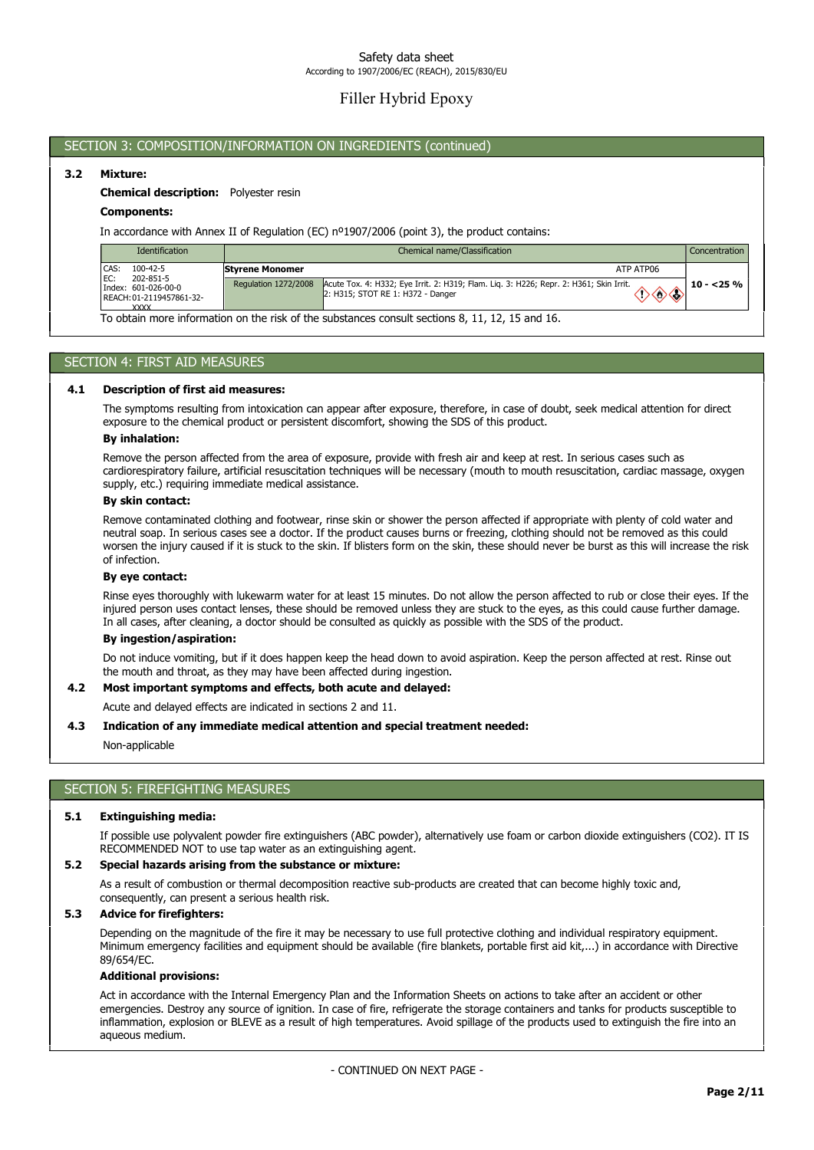# Filler Hybrid Epoxy

## SECTION 3: COMPOSITION/INFORMATION ON INGREDIENTS (continued)

## 3.2 Mixture:

## Chemical description: Polyester resin

#### Components:

In accordance with Annex II of Regulation (EC) nº1907/2006 (point 3), the product contains:

| <b>Identification</b>                                          | Chemical name/Classification |                                                                                                                             | Concentration |
|----------------------------------------------------------------|------------------------------|-----------------------------------------------------------------------------------------------------------------------------|---------------|
| CAS:<br>100-42-5<br>IEC:<br>202-851-5                          | <b>Styrene Monomer</b>       | ATP ATP06                                                                                                                   |               |
| Index: 601-026-00-0<br>REACH: 01-2119457861-32-<br><b>XXXX</b> | Regulation 1272/2008         | Acute Tox. 4: H332; Eye Irrit. 2: H319; Flam. Lig. 3: H226; Repr. 2: H361; Skin Irrit.<br>2: H315: STOT RE 1: H372 - Danger | l 10 - <25 %  |

To obtain more information on the risk of the substances consult sections 8, 11, 12, 15 and 16.

## SECTION 4: FIRST AID MEASURES

#### 4.1 Description of first aid measures:

The symptoms resulting from intoxication can appear after exposure, therefore, in case of doubt, seek medical attention for direct exposure to the chemical product or persistent discomfort, showing the SDS of this product.

## By inhalation:

Remove the person affected from the area of exposure, provide with fresh air and keep at rest. In serious cases such as cardiorespiratory failure, artificial resuscitation techniques will be necessary (mouth to mouth resuscitation, cardiac massage, oxygen supply, etc.) requiring immediate medical assistance.

### By skin contact:

Remove contaminated clothing and footwear, rinse skin or shower the person affected if appropriate with plenty of cold water and neutral soap. In serious cases see a doctor. If the product causes burns or freezing, clothing should not be removed as this could worsen the injury caused if it is stuck to the skin. If blisters form on the skin, these should never be burst as this will increase the risk of infection.

## By eye contact:

Rinse eyes thoroughly with lukewarm water for at least 15 minutes. Do not allow the person affected to rub or close their eyes. If the injured person uses contact lenses, these should be removed unless they are stuck to the eyes, as this could cause further damage. In all cases, after cleaning, a doctor should be consulted as quickly as possible with the SDS of the product.

#### By ingestion/aspiration:

Do not induce vomiting, but if it does happen keep the head down to avoid aspiration. Keep the person affected at rest. Rinse out the mouth and throat, as they may have been affected during ingestion.

#### 4.2 Most important symptoms and effects, both acute and delayed:

Acute and delayed effects are indicated in sections 2 and 11.

#### 4.3 Indication of any immediate medical attention and special treatment needed:

Non-applicable

## SECTION 5: FIREFIGHTING MEASURES

#### 5.1 Extinguishing media:

If possible use polyvalent powder fire extinguishers (ABC powder), alternatively use foam or carbon dioxide extinguishers (CO2). IT IS RECOMMENDED NOT to use tap water as an extinguishing agent.

#### 5.2 Special hazards arising from the substance or mixture:

As a result of combustion or thermal decomposition reactive sub-products are created that can become highly toxic and, consequently, can present a serious health risk.

### 5.3 Advice for firefighters:

Depending on the magnitude of the fire it may be necessary to use full protective clothing and individual respiratory equipment. Minimum emergency facilities and equipment should be available (fire blankets, portable first aid kit,...) in accordance with Directive 89/654/EC.

### Additional provisions:

Act in accordance with the Internal Emergency Plan and the Information Sheets on actions to take after an accident or other emergencies. Destroy any source of ignition. In case of fire, refrigerate the storage containers and tanks for products susceptible to inflammation, explosion or BLEVE as a result of high temperatures. Avoid spillage of the products used to extinguish the fire into an aqueous medium.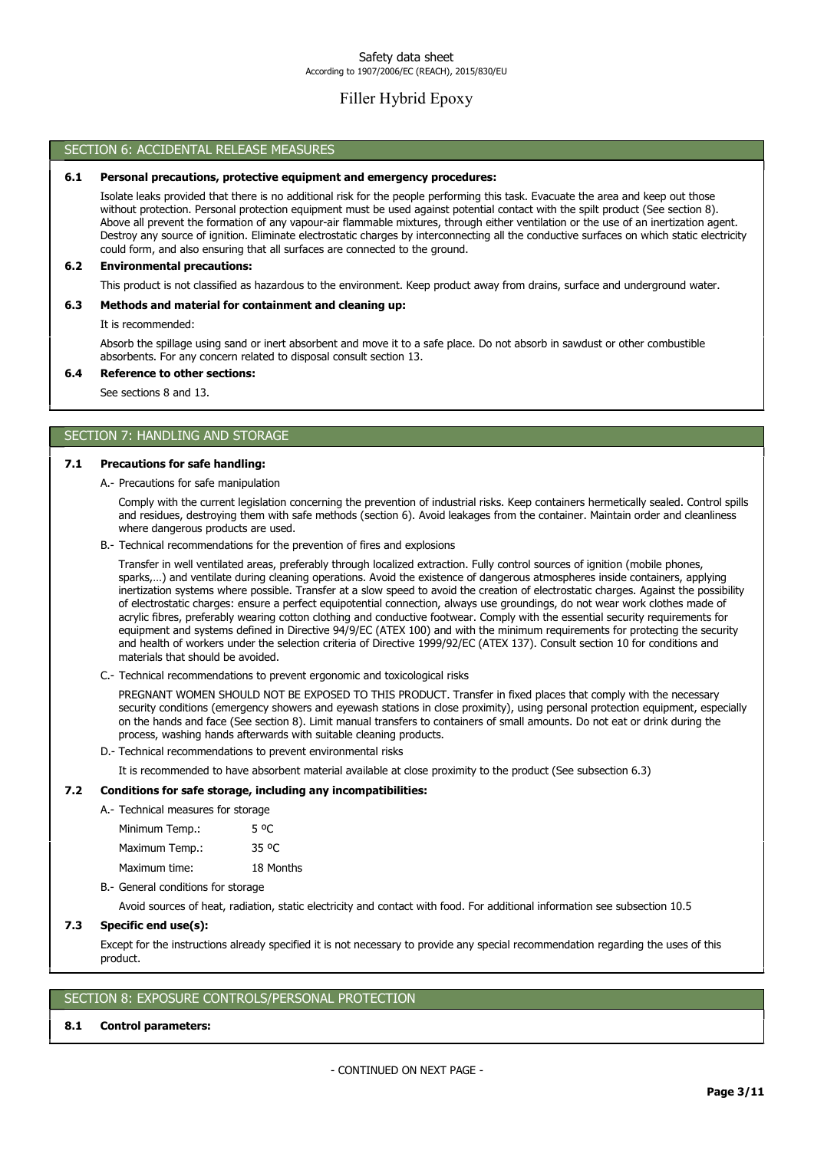# Filler Hybrid Epoxy

#### SECTION 6: ACCIDENTAL RELEASE MEASURES

#### 6.1 Personal precautions, protective equipment and emergency procedures:

Isolate leaks provided that there is no additional risk for the people performing this task. Evacuate the area and keep out those without protection. Personal protection equipment must be used against potential contact with the spilt product (See section 8). Above all prevent the formation of any vapour-air flammable mixtures, through either ventilation or the use of an inertization agent. Destroy any source of ignition. Eliminate electrostatic charges by interconnecting all the conductive surfaces on which static electricity could form, and also ensuring that all surfaces are connected to the ground.

#### 6.2 Environmental precautions:

This product is not classified as hazardous to the environment. Keep product away from drains, surface and underground water.

## 6.3 Methods and material for containment and cleaning up:

It is recommended:

Absorb the spillage using sand or inert absorbent and move it to a safe place. Do not absorb in sawdust or other combustible absorbents. For any concern related to disposal consult section 13.

#### 6.4 Reference to other sections:

See sections 8 and 13.

## SECTION 7: HANDLING AND STORAGE

### 7.1 Precautions for safe handling:

A.- Precautions for safe manipulation

Comply with the current legislation concerning the prevention of industrial risks. Keep containers hermetically sealed. Control spills and residues, destroying them with safe methods (section 6). Avoid leakages from the container. Maintain order and cleanliness where dangerous products are used.

B.- Technical recommendations for the prevention of fires and explosions

Transfer in well ventilated areas, preferably through localized extraction. Fully control sources of ignition (mobile phones, sparks,…) and ventilate during cleaning operations. Avoid the existence of dangerous atmospheres inside containers, applying inertization systems where possible. Transfer at a slow speed to avoid the creation of electrostatic charges. Against the possibility of electrostatic charges: ensure a perfect equipotential connection, always use groundings, do not wear work clothes made of acrylic fibres, preferably wearing cotton clothing and conductive footwear. Comply with the essential security requirements for equipment and systems defined in Directive 94/9/EC (ATEX 100) and with the minimum requirements for protecting the security and health of workers under the selection criteria of Directive 1999/92/EC (ATEX 137). Consult section 10 for conditions and materials that should be avoided.

C.- Technical recommendations to prevent ergonomic and toxicological risks

PREGNANT WOMEN SHOULD NOT BE EXPOSED TO THIS PRODUCT. Transfer in fixed places that comply with the necessary security conditions (emergency showers and eyewash stations in close proximity), using personal protection equipment, especially on the hands and face (See section 8). Limit manual transfers to containers of small amounts. Do not eat or drink during the process, washing hands afterwards with suitable cleaning products.

D.- Technical recommendations to prevent environmental risks

It is recommended to have absorbent material available at close proximity to the product (See subsection 6.3)

#### 7.2 Conditions for safe storage, including any incompatibilities:

| A.- Technical measures for storage |       |
|------------------------------------|-------|
| Minimum Temp.:                     | 5 OC  |
| Maximum Temp.:                     | 35 °C |

Maximum time: 18 Months

B.- General conditions for storage

Avoid sources of heat, radiation, static electricity and contact with food. For additional information see subsection 10.5

#### 7.3 Specific end use(s):

Except for the instructions already specified it is not necessary to provide any special recommendation regarding the uses of this product.

## SECTION 8: EXPOSURE CONTROLS/PERSONAL PROTECTION

#### 8.1 Control parameters: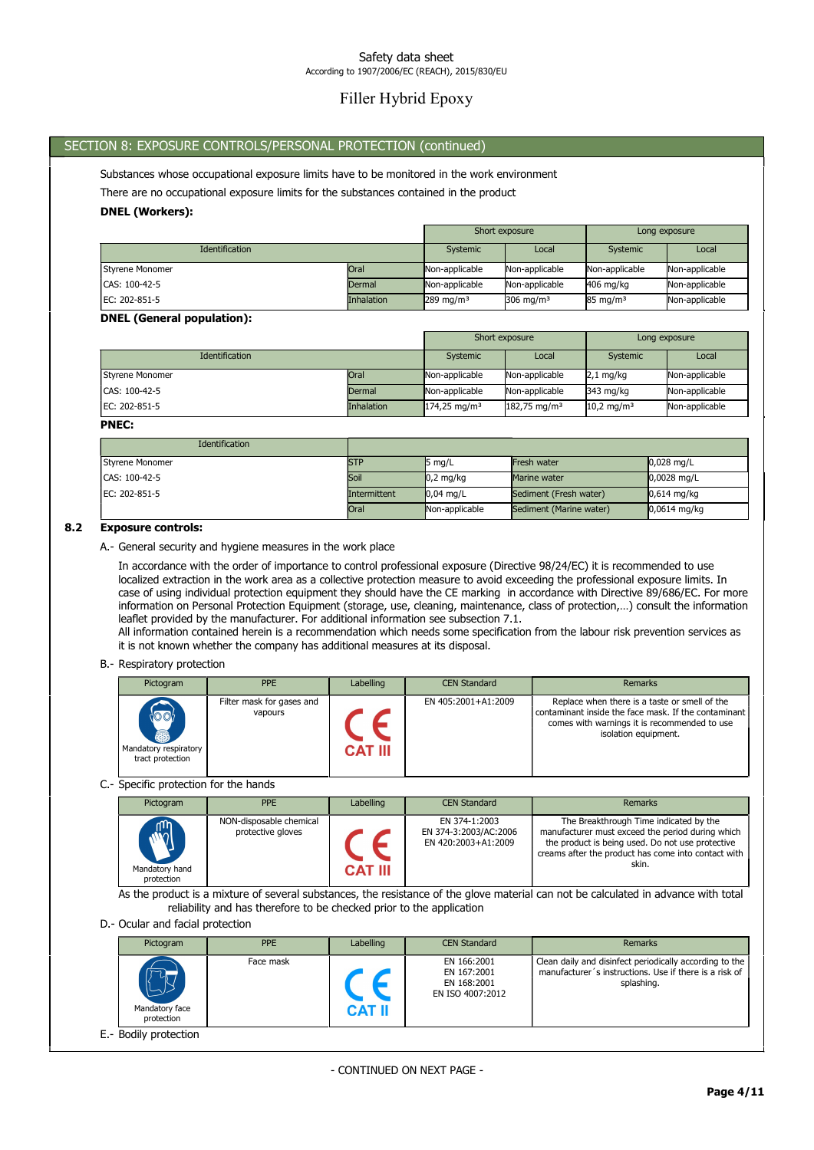# Filler Hybrid Epoxy

## SECTION 8: EXPOSURE CONTROLS/PERSONAL PROTECTION (continued)

Substances whose occupational exposure limits have to be monitored in the work environment

There are no occupational exposure limits for the substances contained in the product

### DNEL (Workers):

|                        |             | Short exposure       |                |                     | Long exposure  |
|------------------------|-------------|----------------------|----------------|---------------------|----------------|
| <b>Identification</b>  |             | Systemic             | Local          | Systemic            | Local          |
| <b>Styrene Monomer</b> | <b>Oral</b> | Non-applicable       | Non-applicable | Non-applicable      | Non-applicable |
| CAS: 100-42-5          | Dermal      | Non-applicable       | Non-applicable | 406 mg/kg           | Non-applicable |
| EC: 202-851-5          | Inhalation  | $289 \text{ mg/m}^3$ | 306 mg/m $3$   | $85 \text{ mg/m}^3$ | Non-applicable |

#### DNEL (General population):

|                 |             |                         | Short exposure          | Long exposure          |                |
|-----------------|-------------|-------------------------|-------------------------|------------------------|----------------|
| Identification  |             | Systemic                | Local                   | Systemic               | Local          |
| Styrene Monomer | <b>Oral</b> | Non-applicable          | Non-applicable          | $2,1$ mg/kg            | Non-applicable |
| CAS: 100-42-5   | Dermal      | Non-applicable          | Non-applicable          | 343 mg/kg              | Non-applicable |
| EC: 202-851-5   | Inhalation  | $174,25 \text{ mg/m}^3$ | $182,75 \text{ mg/m}^3$ | 10,2 mg/m <sup>3</sup> | Non-applicable |

#### PNEC:

| Identification         |              |                     |                         |                |
|------------------------|--------------|---------------------|-------------------------|----------------|
| <b>Styrene Monomer</b> | <b>ISTP</b>  | 5 mg/L              | Fresh water             | $0.028$ mg/L   |
| CAS: 100-42-5          | Soil         | $0.2 \text{ mg/kg}$ | Marine water            | $0,0028$ mg/L  |
| EC: 202-851-5          | Intermittent | $0.04$ ma/L         | Sediment (Fresh water)  | $0.614$ mg/kg  |
|                        | <b>Oral</b>  | Non-applicable      | Sediment (Marine water) | $0.0614$ mg/kg |

#### 8.2 Exposure controls:

A.- General security and hygiene measures in the work place

In accordance with the order of importance to control professional exposure (Directive 98/24/EC) it is recommended to use localized extraction in the work area as a collective protection measure to avoid exceeding the professional exposure limits. In case of using individual protection equipment they should have the CE marking in accordance with Directive 89/686/EC. For more information on Personal Protection Equipment (storage, use, cleaning, maintenance, class of protection,…) consult the information leaflet provided by the manufacturer. For additional information see subsection 7.1.

All information contained herein is a recommendation which needs some specification from the labour risk prevention services as it is not known whether the company has additional measures at its disposal.

#### B.- Respiratory protection

| Pictogram                                                          | <b>PPE</b>                           | Labelling      | <b>CEN Standard</b> | Remarks                                                                                                                                                                       |
|--------------------------------------------------------------------|--------------------------------------|----------------|---------------------|-------------------------------------------------------------------------------------------------------------------------------------------------------------------------------|
| $\{\circ\circ\}$<br>8<br>Mandatory respiratory<br>tract protection | Filter mask for gases and<br>vapours | <b>CAT III</b> | EN 405:2001+A1:2009 | Replace when there is a taste or smell of the<br>contaminant inside the face mask. If the contaminant<br>comes with warnings it is recommended to use<br>isolation equipment. |

C.- Specific protection for the hands

| Pictogram                                  | <b>PPE</b>                                   | Labelling      | <b>CEN Standard</b>                                           | Remarks                                                                                                                                                                                                        |
|--------------------------------------------|----------------------------------------------|----------------|---------------------------------------------------------------|----------------------------------------------------------------------------------------------------------------------------------------------------------------------------------------------------------------|
| <b>ANA</b><br>Mandatory hand<br>protection | NON-disposable chemical<br>protective gloves | <b>CAT III</b> | EN 374-1:2003<br>EN 374-3:2003/AC:2006<br>EN 420:2003+A1:2009 | The Breakthrough Time indicated by the<br>manufacturer must exceed the period during which<br>the product is being used. Do not use protective<br>creams after the product has come into contact with<br>skin. |

As the product is a mixture of several substances, the resistance of the glove material can not be calculated in advance with total reliability and has therefore to be checked prior to the application

D.- Ocular and facial protection

| Pictogram                          | <b>PPE</b> | Labelling     | <b>CEN Standard</b>                                           | Remarks                                                                                                                         |
|------------------------------------|------------|---------------|---------------------------------------------------------------|---------------------------------------------------------------------------------------------------------------------------------|
| رب<br>Mandatory face<br>protection | Face mask  | <b>CAT II</b> | EN 166:2001<br>EN 167:2001<br>EN 168:2001<br>EN ISO 4007:2012 | Clean daily and disinfect periodically according to the<br>manufacturer's instructions. Use if there is a risk of<br>splashing. |
| E.- Bodily protection              |            |               |                                                               |                                                                                                                                 |

- CONTINUED ON NEXT PAGE -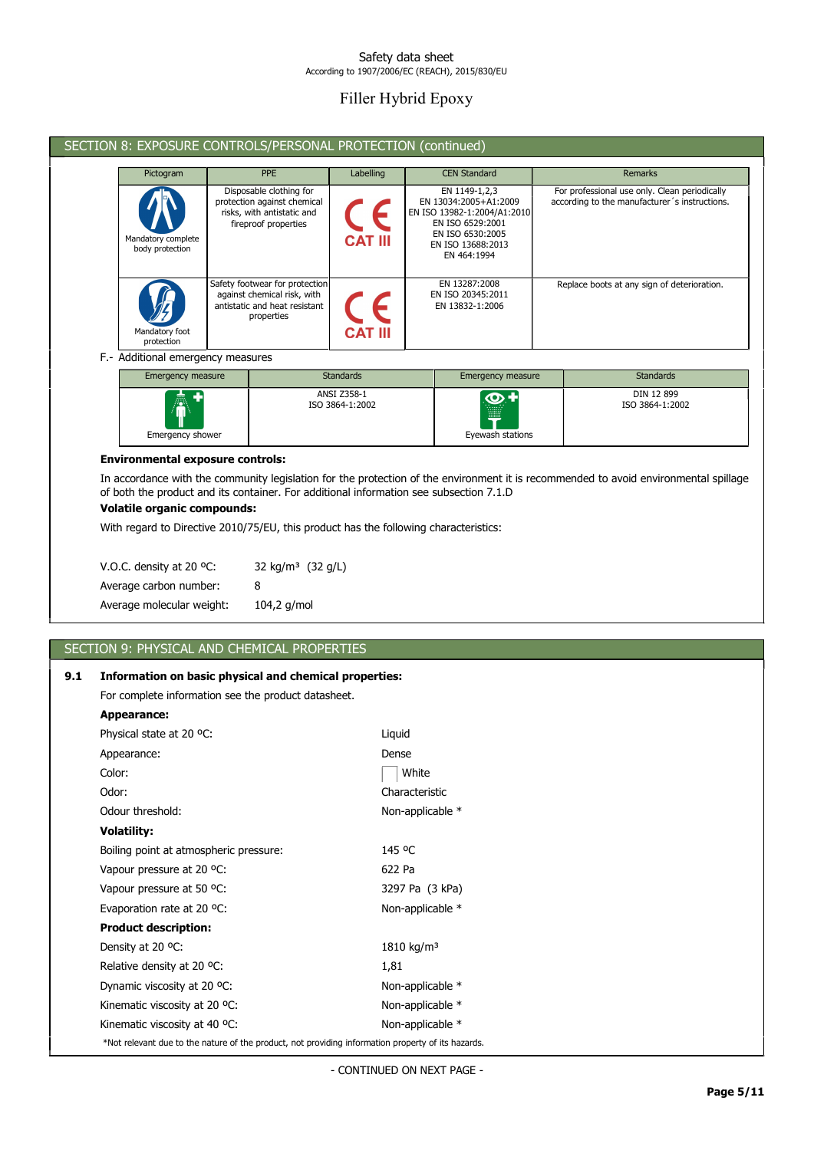# Filler Hybrid Epoxy

|                                       | SECTION 8: EXPOSURE CONTROLS/PERSONAL PROTECTION (continued)                                                 |                |                                                                                                                                                   |                                                                                                |  |
|---------------------------------------|--------------------------------------------------------------------------------------------------------------|----------------|---------------------------------------------------------------------------------------------------------------------------------------------------|------------------------------------------------------------------------------------------------|--|
| Pictogram                             | <b>PPE</b>                                                                                                   | Labelling      | <b>CEN Standard</b>                                                                                                                               | Remarks                                                                                        |  |
| Mandatory complete<br>body protection | Disposable clothing for<br>protection against chemical<br>risks, with antistatic and<br>fireproof properties | <b>CAT III</b> | EN 1149-1,2,3<br>EN 13034:2005+A1:2009<br>EN ISO 13982-1:2004/A1:2010<br>EN ISO 6529:2001<br>EN ISO 6530:2005<br>EN ISO 13688:2013<br>EN 464:1994 | For professional use only. Clean periodically<br>according to the manufacturer's instructions. |  |
| Mandatory foot<br>protection          | Safety footwear for protection<br>against chemical risk, with<br>antistatic and heat resistant<br>properties | <b>CAT III</b> | EN 13287:2008<br>EN ISO 20345:2011<br>EN 13832-1:2006                                                                                             | Replace boots at any sign of deterioration.                                                    |  |

## F.- Additional emergency measures

| Emergency measure      | <b>Standards</b>               | Emergency measure                                | <b>Standards</b>              |
|------------------------|--------------------------------|--------------------------------------------------|-------------------------------|
| AT<br>Emergency shower | ANSI Z358-1<br>ISO 3864-1:2002 | <b>O+</b><br>.<br><b>WHE</b><br>Eyewash stations | DIN 12 899<br>ISO 3864-1:2002 |

### Environmental exposure controls:

In accordance with the community legislation for the protection of the environment it is recommended to avoid environmental spillage of both the product and its container. For additional information see subsection 7.1.D

## Volatile organic compounds:

With regard to Directive 2010/75/EU, this product has the following characteristics:

| V.O.C. density at 20 $^{\circ}$ C: | 32 kg/m <sup>3</sup> (32 g/L) |
|------------------------------------|-------------------------------|
| Average carbon number:             | 8                             |
| Average molecular weight:          | $104,2$ g/mol                 |

## SECTION 9: PHYSICAL AND CHEMICAL PROPERTIES

## 9.1 Information on basic physical and chemical properties:

For complete information see the product datasheet.

| Appearance:                                                                                        |                        |  |  |  |
|----------------------------------------------------------------------------------------------------|------------------------|--|--|--|
| Physical state at 20 °C:                                                                           | Liquid                 |  |  |  |
| Appearance:                                                                                        | Dense                  |  |  |  |
| Color:                                                                                             | White                  |  |  |  |
| Odor:                                                                                              | Characteristic         |  |  |  |
| Odour threshold:                                                                                   | Non-applicable *       |  |  |  |
| <b>Volatility:</b>                                                                                 |                        |  |  |  |
| Boiling point at atmospheric pressure:                                                             | 145 °C                 |  |  |  |
| Vapour pressure at 20 °C:                                                                          | 622 Pa                 |  |  |  |
| Vapour pressure at 50 °C:                                                                          | 3297 Pa (3 kPa)        |  |  |  |
| Evaporation rate at 20 °C:                                                                         | Non-applicable *       |  |  |  |
| <b>Product description:</b>                                                                        |                        |  |  |  |
| Density at 20 °C:                                                                                  | 1810 kg/m <sup>3</sup> |  |  |  |
| Relative density at 20 °C:                                                                         | 1,81                   |  |  |  |
| Dynamic viscosity at 20 °C:                                                                        | Non-applicable *       |  |  |  |
| Kinematic viscosity at 20 °C:                                                                      | Non-applicable *       |  |  |  |
| Kinematic viscosity at 40 °C:                                                                      | Non-applicable *       |  |  |  |
| *Not relevant due to the nature of the product, not providing information property of its hazards. |                        |  |  |  |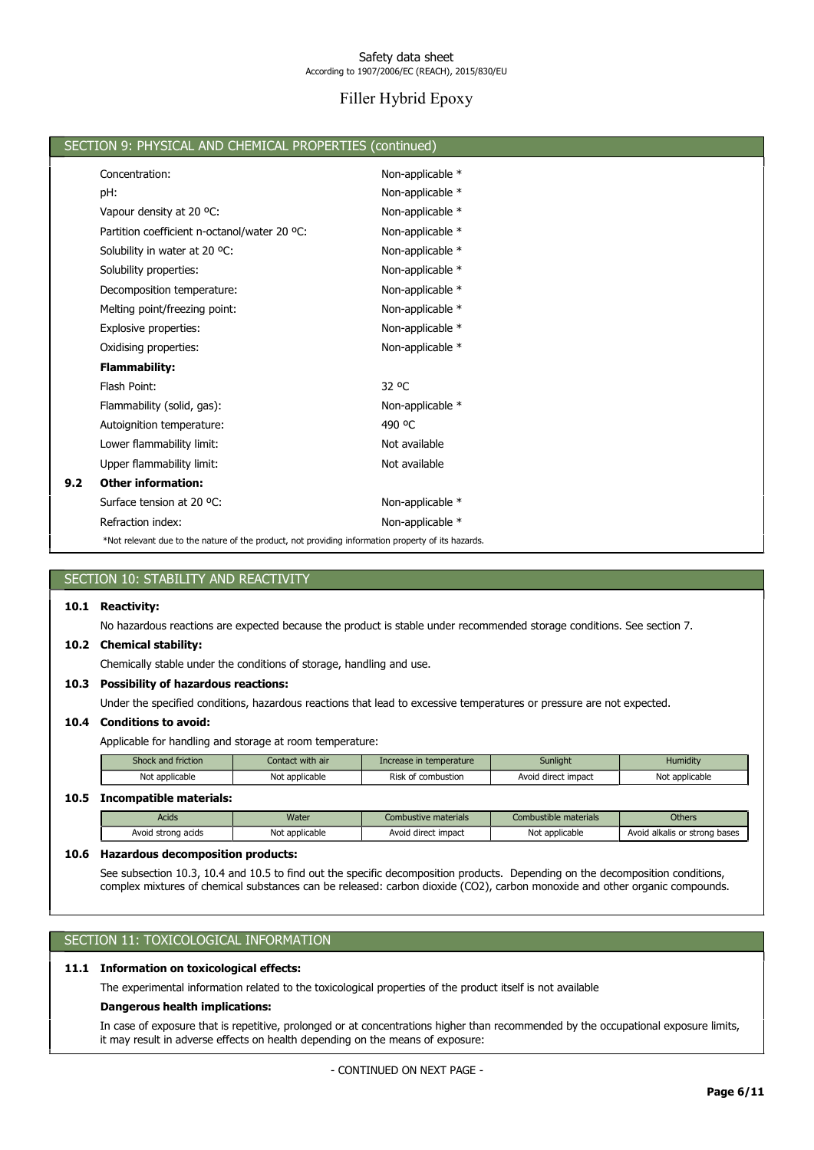# Filler Hybrid Epoxy

|     | SECTION 9: PHYSICAL AND CHEMICAL PROPERTIES (continued)                                            |                   |  |  |  |  |
|-----|----------------------------------------------------------------------------------------------------|-------------------|--|--|--|--|
|     | Concentration:                                                                                     | Non-applicable *  |  |  |  |  |
|     | pH:                                                                                                | Non-applicable *  |  |  |  |  |
|     | Vapour density at 20 °C:                                                                           | Non-applicable *  |  |  |  |  |
|     | Partition coefficient n-octanol/water 20 °C:                                                       | Non-applicable *  |  |  |  |  |
|     | Solubility in water at 20 °C:                                                                      | Non-applicable *  |  |  |  |  |
|     | Solubility properties:                                                                             | Non-applicable *  |  |  |  |  |
|     | Decomposition temperature:                                                                         | Non-applicable *  |  |  |  |  |
|     | Melting point/freezing point:                                                                      | Non-applicable *  |  |  |  |  |
|     | Explosive properties:                                                                              | Non-applicable *  |  |  |  |  |
|     | Oxidising properties:                                                                              | Non-applicable *  |  |  |  |  |
|     | <b>Flammability:</b>                                                                               |                   |  |  |  |  |
|     | Flash Point:                                                                                       | 32 <sup>o</sup> C |  |  |  |  |
|     | Flammability (solid, gas):                                                                         | Non-applicable *  |  |  |  |  |
|     | Autoignition temperature:                                                                          | 490 °C            |  |  |  |  |
|     | Lower flammability limit:                                                                          | Not available     |  |  |  |  |
|     | Upper flammability limit:                                                                          | Not available     |  |  |  |  |
| 9.2 | <b>Other information:</b>                                                                          |                   |  |  |  |  |
|     | Surface tension at 20 °C:                                                                          | Non-applicable *  |  |  |  |  |
|     | Refraction index:                                                                                  | Non-applicable *  |  |  |  |  |
|     | *Not relevant due to the nature of the product, not providing information property of its hazards. |                   |  |  |  |  |
|     |                                                                                                    |                   |  |  |  |  |
|     | SECTION 10: STABILITY AND REACTIVITY                                                               |                   |  |  |  |  |

#### 10.1 Reactivity:

No hazardous reactions are expected because the product is stable under recommended storage conditions. See section 7.

### 10.2 Chemical stability:

Chemically stable under the conditions of storage, handling and use.

#### 10.3 Possibility of hazardous reactions:

Under the specified conditions, hazardous reactions that lead to excessive temperatures or pressure are not expected.

#### 10.4 Conditions to avoid:

Applicable for handling and storage at room temperature:

| Shock and friction | Contact with air | Increase in temperature | Sunlight            | Humidity       |
|--------------------|------------------|-------------------------|---------------------|----------------|
| Not applicable     | Not applicable   | Risk of combustion      | Avoid direct impact | Not applicable |
|                    |                  |                         |                     |                |

## 10.5 Incompatible materials:

| Acids              | Water          | Combustive materials | Combustible materials | <b>Others</b>                 |
|--------------------|----------------|----------------------|-----------------------|-------------------------------|
| Avoid strong acids | Not applicable | Avoid direct impact  | Not applicable        | Avoid alkalis or strong bases |

#### 10.6 Hazardous decomposition products:

See subsection 10.3, 10.4 and 10.5 to find out the specific decomposition products. Depending on the decomposition conditions, complex mixtures of chemical substances can be released: carbon dioxide (CO2), carbon monoxide and other organic compounds.

## SECTION 11: TOXICOLOGICAL INFORMATION

## 11.1 Information on toxicological effects:

The experimental information related to the toxicological properties of the product itself is not available

#### Dangerous health implications:

In case of exposure that is repetitive, prolonged or at concentrations higher than recommended by the occupational exposure limits, it may result in adverse effects on health depending on the means of exposure: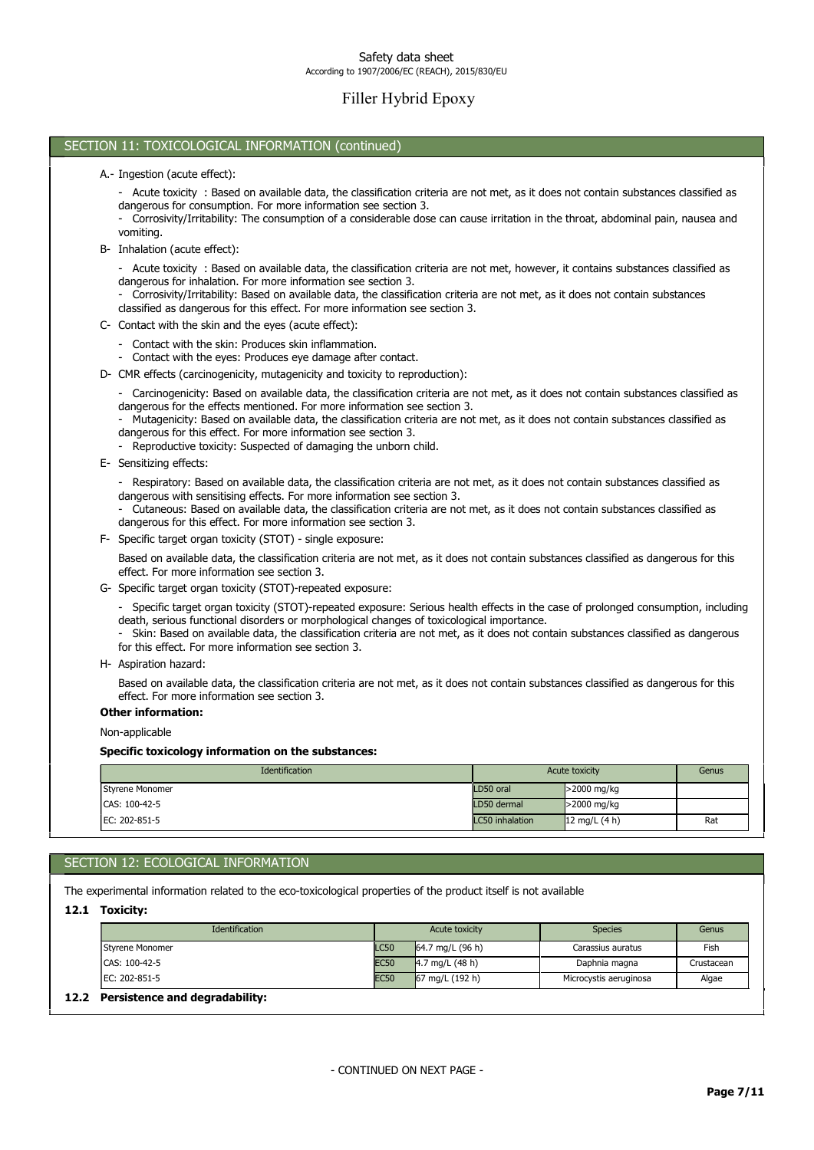# Filler Hybrid Epoxy

## SECTION 11: TOXICOLOGICAL INFORMATION (continued)

- A.- Ingestion (acute effect):
	- Acute toxicity : Based on available data, the classification criteria are not met, as it does not contain substances classified as dangerous for consumption. For more information see section 3.
	- Corrosivity/Irritability: The consumption of a considerable dose can cause irritation in the throat, abdominal pain, nausea and vomiting.
- B- Inhalation (acute effect):
	- Acute toxicity : Based on available data, the classification criteria are not met, however, it contains substances classified as dangerous for inhalation. For more information see section 3.
	- Corrosivity/Irritability: Based on available data, the classification criteria are not met, as it does not contain substances classified as dangerous for this effect. For more information see section 3.
- C- Contact with the skin and the eyes (acute effect):
	- Contact with the skin: Produces skin inflammation.
	- Contact with the eyes: Produces eye damage after contact.
- D- CMR effects (carcinogenicity, mutagenicity and toxicity to reproduction):
	- Carcinogenicity: Based on available data, the classification criteria are not met, as it does not contain substances classified as dangerous for the effects mentioned. For more information see section 3.
	- Mutagenicity: Based on available data, the classification criteria are not met, as it does not contain substances classified as dangerous for this effect. For more information see section 3.
	- Reproductive toxicity: Suspected of damaging the unborn child.
- E- Sensitizing effects:

- Respiratory: Based on available data, the classification criteria are not met, as it does not contain substances classified as dangerous with sensitising effects. For more information see section 3.

- Cutaneous: Based on available data, the classification criteria are not met, as it does not contain substances classified as dangerous for this effect. For more information see section 3.

F- Specific target organ toxicity (STOT) - single exposure:

Based on available data, the classification criteria are not met, as it does not contain substances classified as dangerous for this effect. For more information see section 3.

G- Specific target organ toxicity (STOT)-repeated exposure:

- Specific target organ toxicity (STOT)-repeated exposure: Serious health effects in the case of prolonged consumption, including death, serious functional disorders or morphological changes of toxicological importance.

- Skin: Based on available data, the classification criteria are not met, as it does not contain substances classified as dangerous for this effect. For more information see section 3.

H- Aspiration hazard:

Based on available data, the classification criteria are not met, as it does not contain substances classified as dangerous for this effect. For more information see section 3.

Other information:

Non-applicable

#### Specific toxicology information on the substances:

| Identification  | Acute toxicity  | Genus           |     |
|-----------------|-----------------|-----------------|-----|
| Styrene Monomer | LD50 oral       | >2000 mg/kg     |     |
| CAS: 100-42-5   | LD50 dermal     | >2000 mg/kg     |     |
| EC: 202-851-5   | LC50 inhalation | 12 mg/L $(4 h)$ | Rat |

## SECTION 12: ECOLOGICAL INFORMATION

The experimental information related to the eco-toxicological properties of the product itself is not available

12.1 Toxicity:

| <b>Identification</b>                  | Acute toxicity |                    | <b>Species</b>         | Genus      |
|----------------------------------------|----------------|--------------------|------------------------|------------|
| Styrene Monomer                        | <b>LC50</b>    | 64.7 mg/L $(96 h)$ | Carassius auratus      | Fish       |
| ICAS: 100-42-5                         | <b>EC50</b>    | 4.7 mg/L $(48 h)$  | Daphnia magna          | Crustacean |
| IEC: 202-851-5                         | <b>EC50</b>    | 67 mg/L (192 h)    | Microcystis aeruginosa | Algae      |
| Persistence and degradability:<br>12.2 |                |                    |                        |            |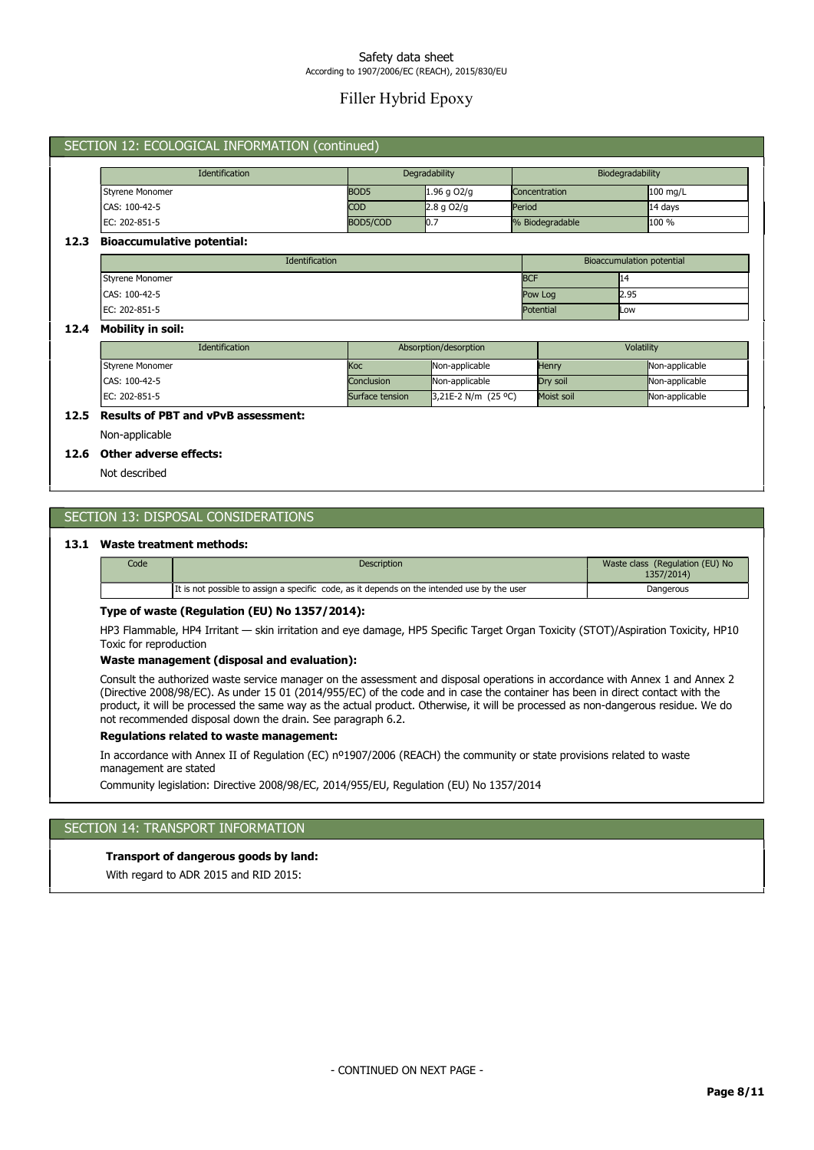# Filler Hybrid Epoxy

## SECTION 12: ECOLOGICAL INFORMATION (continued)

| <b>Identification</b> | Degradability    |               | Biodegradability |          |
|-----------------------|------------------|---------------|------------------|----------|
| Styrene Monomer       | BOD <sub>5</sub> | $1.96$ g O2/g | Concentration    | 100 mg/L |
| CAS: 100-42-5         | <b>COD</b>       | $2.8$ g O2/g  | Period           | 14 days  |
| IEC: 202-851-5        | BOD5/COD         | 10.7          | % Biodegradable  | $100 \%$ |

#### 12.3 Bioaccumulative potential:

| <b>Identification</b> | Bioaccumulation potential |      |  |
|-----------------------|---------------------------|------|--|
| Styrene Monomer       | <b>BCF</b>                | 14،  |  |
| CAS: 100-42-5         | Pow Log                   | 2.95 |  |
| EC: 202-851-5         | Potential                 | Low  |  |

#### 12.4 Mobility in soil:

| <b>Identification</b>    | Absorption/desorption |                       | Volatility |                |
|--------------------------|-----------------------|-----------------------|------------|----------------|
| <b>I</b> Styrene Monomer | lKoc                  | Non-applicable        | Henry      | Non-applicable |
| CAS: 100-42-5            | Conclusion            | Non-applicable        | Drv soil   | Non-applicable |
| IEC: 202-851-5           | Surface tension       | $3,21E-2 N/m (25 °C)$ | Moist soil | Non-applicable |

## 12.5 Results of PBT and vPvB assessment:

Non-applicable

### 12.6 Other adverse effects:

Not described

## SECTION 13: DISPOSAL CONSIDERATIONS

### 13.1 Waste treatment methods:

| Code | <b>Description</b>                                                                          | Waste class (Regulation (EU) No<br>1357/2014) |
|------|---------------------------------------------------------------------------------------------|-----------------------------------------------|
|      | It is not possible to assign a specific code, as it depends on the intended use by the user | Dangerous                                     |

#### Type of waste (Regulation (EU) No 1357/2014):

HP3 Flammable, HP4 Irritant — skin irritation and eye damage, HP5 Specific Target Organ Toxicity (STOT)/Aspiration Toxicity, HP10 Toxic for reproduction

### Waste management (disposal and evaluation):

Consult the authorized waste service manager on the assessment and disposal operations in accordance with Annex 1 and Annex 2 (Directive 2008/98/EC). As under 15 01 (2014/955/EC) of the code and in case the container has been in direct contact with the product, it will be processed the same way as the actual product. Otherwise, it will be processed as non-dangerous residue. We do not recommended disposal down the drain. See paragraph 6.2.

## Regulations related to waste management:

In accordance with Annex II of Regulation (EC) nº1907/2006 (REACH) the community or state provisions related to waste

management are stated

Community legislation: Directive 2008/98/EC, 2014/955/EU, Regulation (EU) No 1357/2014

### SECTION 14: TRANSPORT INFORMATION

#### Transport of dangerous goods by land:

With regard to ADR 2015 and RID 2015: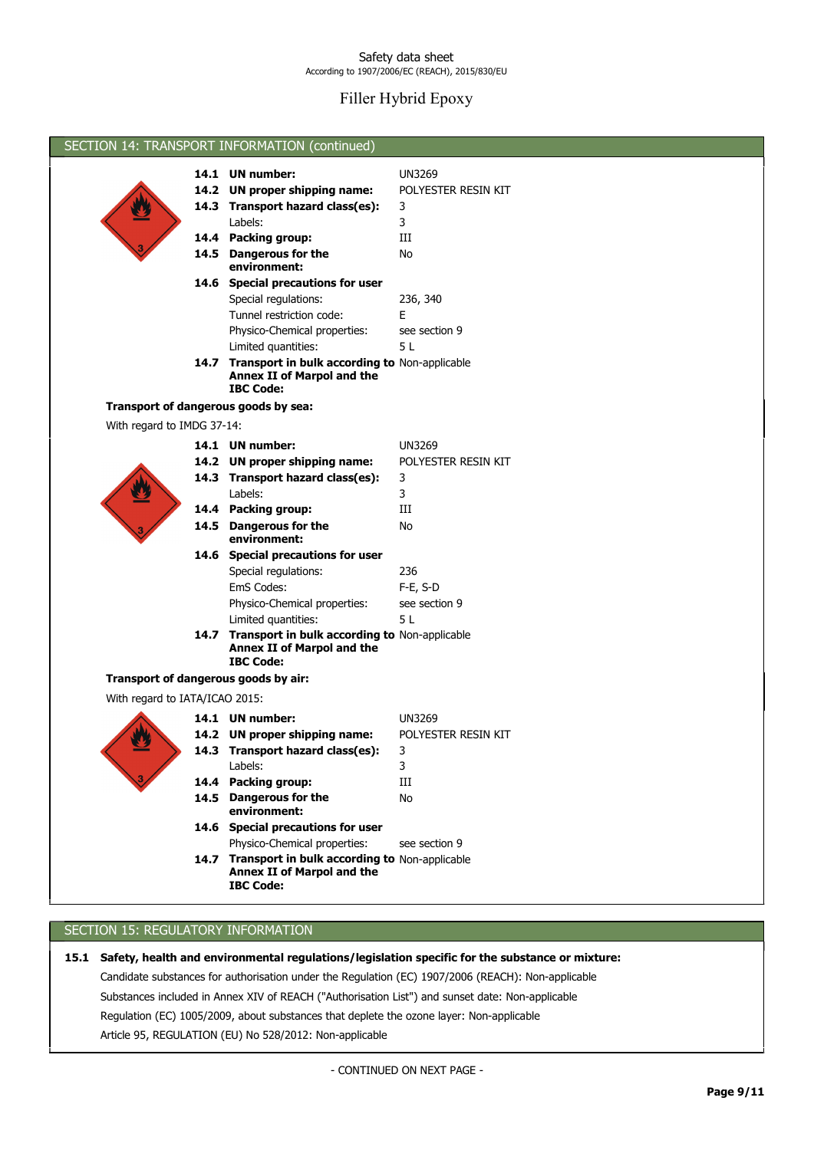# Filler Hybrid Epoxy

|                                      | SECTION 14: TRANSPORT INFORMATION (continued)                                                               |                     |
|--------------------------------------|-------------------------------------------------------------------------------------------------------------|---------------------|
|                                      |                                                                                                             |                     |
|                                      | 14.1 UN number:                                                                                             | <b>UN3269</b>       |
|                                      | 14.2 UN proper shipping name:                                                                               | POLYESTER RESIN KIT |
|                                      | 14.3 Transport hazard class(es):                                                                            | 3                   |
|                                      | Labels:                                                                                                     | 3                   |
|                                      | 14.4 Packing group:                                                                                         | Ш                   |
|                                      | 14.5 Dangerous for the                                                                                      | No                  |
|                                      | environment:                                                                                                |                     |
|                                      | 14.6 Special precautions for user                                                                           |                     |
|                                      | Special regulations:                                                                                        | 236, 340<br>E       |
|                                      | Tunnel restriction code:                                                                                    |                     |
|                                      | Physico-Chemical properties:                                                                                | see section 9       |
|                                      | Limited quantities:                                                                                         | 5 L                 |
|                                      | 14.7 Transport in bulk according to Non-applicable<br><b>Annex II of Marpol and the</b>                     |                     |
|                                      | <b>IBC Code:</b>                                                                                            |                     |
| Transport of dangerous goods by sea: |                                                                                                             |                     |
| With regard to IMDG 37-14:           |                                                                                                             |                     |
|                                      |                                                                                                             |                     |
|                                      | 14.1 UN number:                                                                                             | <b>UN3269</b>       |
|                                      | 14.2 UN proper shipping name:                                                                               | POLYESTER RESIN KIT |
|                                      | 14.3 Transport hazard class(es):                                                                            | 3                   |
|                                      | Labels:                                                                                                     | 3                   |
|                                      | 14.4 Packing group:                                                                                         | Ш                   |
|                                      | 14.5 Dangerous for the                                                                                      | No                  |
|                                      | environment:                                                                                                |                     |
|                                      | 14.6 Special precautions for user                                                                           |                     |
|                                      | Special regulations:                                                                                        | 236                 |
|                                      | EmS Codes:                                                                                                  | F-E, S-D            |
|                                      | Physico-Chemical properties:                                                                                | see section 9       |
|                                      | Limited quantities:                                                                                         | 5 L                 |
|                                      | 14.7 Transport in bulk according to Non-applicable<br>Annex II of Marpol and the                            |                     |
|                                      | <b>IBC Code:</b>                                                                                            |                     |
| Transport of dangerous goods by air: |                                                                                                             |                     |
| With regard to IATA/ICAO 2015:       |                                                                                                             |                     |
|                                      |                                                                                                             |                     |
|                                      | 14.1 UN number:                                                                                             | UN3269              |
|                                      | 14.2 UN proper shipping name:                                                                               | POLYESTER RESIN KIT |
|                                      | 14.3 Transport hazard class(es):                                                                            | $\mathbf{3}$        |
|                                      | Labels:                                                                                                     | 3                   |
|                                      | 14.4 Packing group:                                                                                         | Ш                   |
|                                      | 14.5 Dangerous for the<br>environment:                                                                      | No                  |
|                                      | 14.6 Special precautions for user                                                                           |                     |
|                                      | Physico-Chemical properties:                                                                                | see section 9       |
|                                      | 14.7 Transport in bulk according to Non-applicable<br><b>Annex II of Marpol and the</b><br><b>IBC Code:</b> |                     |
|                                      |                                                                                                             |                     |

## SECTION 15: REGULATORY INFORMATION

Article 95, REGULATION (EU) No 528/2012: Non-applicable Regulation (EC) 1005/2009, about substances that deplete the ozone layer: Non-applicable Substances included in Annex XIV of REACH ("Authorisation List") and sunset date: Non-applicable Candidate substances for authorisation under the Regulation (EC) 1907/2006 (REACH): Non-applicable 15.1 Safety, health and environmental regulations/legislation specific for the substance or mixture:

- CONTINUED ON NEXT PAGE -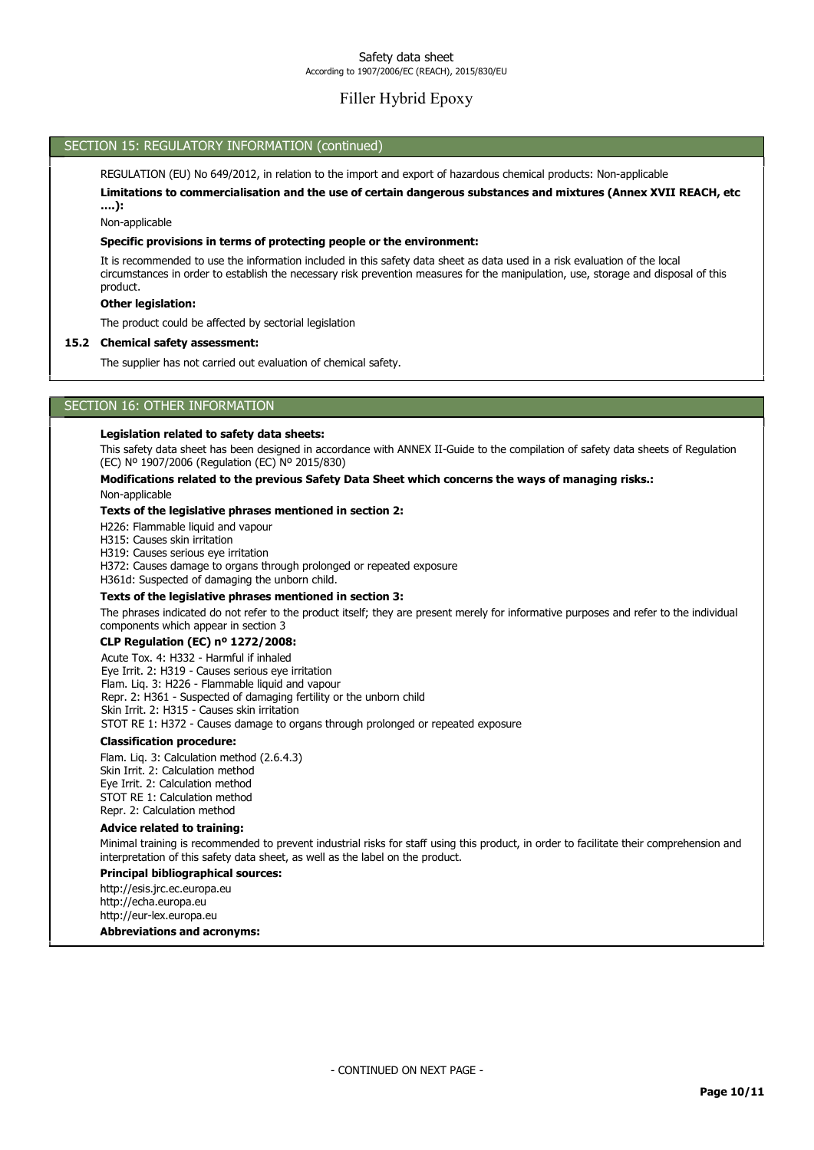## Filler Hybrid Epoxy

## SECTION 15: REGULATORY INFORMATION (continued)

REGULATION (EU) No 649/2012, in relation to the import and export of hazardous chemical products: Non-applicable

Limitations to commercialisation and the use of certain dangerous substances and mixtures (Annex XVII REACH, etc ….):

Non-applicable

#### Specific provisions in terms of protecting people or the environment:

It is recommended to use the information included in this safety data sheet as data used in a risk evaluation of the local circumstances in order to establish the necessary risk prevention measures for the manipulation, use, storage and disposal of this product.

#### Other legislation:

The product could be affected by sectorial legislation

#### 15.2 Chemical safety assessment:

The supplier has not carried out evaluation of chemical safety.

## SECTION 16: OTHER INFORMATION

#### Legislation related to safety data sheets:

This safety data sheet has been designed in accordance with ANNEX II-Guide to the compilation of safety data sheets of Regulation (EC) Nº 1907/2006 (Regulation (EC) Nº 2015/830)

## Modifications related to the previous Safety Data Sheet which concerns the ways of managing risks.:

Non-applicable

## Texts of the legislative phrases mentioned in section 2:

H226: Flammable liquid and vapour

H315: Causes skin irritation

H319: Causes serious eye irritation

H372: Causes damage to organs through prolonged or repeated exposure

H361d: Suspected of damaging the unborn child.

#### Texts of the legislative phrases mentioned in section 3:

The phrases indicated do not refer to the product itself; they are present merely for informative purposes and refer to the individual components which appear in section 3

#### CLP Regulation (EC) nº 1272/2008:

Acute Tox. 4: H332 - Harmful if inhaled Eye Irrit. 2: H319 - Causes serious eye irritation Flam. Liq. 3: H226 - Flammable liquid and vapour Repr. 2: H361 - Suspected of damaging fertility or the unborn child Skin Irrit. 2: H315 - Causes skin irritation STOT RE 1: H372 - Causes damage to organs through prolonged or repeated exposure

### Classification procedure:

Flam. Liq. 3: Calculation method (2.6.4.3) Skin Irrit. 2: Calculation method Eye Irrit. 2: Calculation method STOT RE 1: Calculation method Repr. 2: Calculation method

#### Advice related to training:

Minimal training is recommended to prevent industrial risks for staff using this product, in order to facilitate their comprehension and interpretation of this safety data sheet, as well as the label on the product.

#### Principal bibliographical sources:

http://esis.jrc.ec.europa.eu http://echa.europa.eu http://eur-lex.europa.eu

Abbreviations and acronyms: